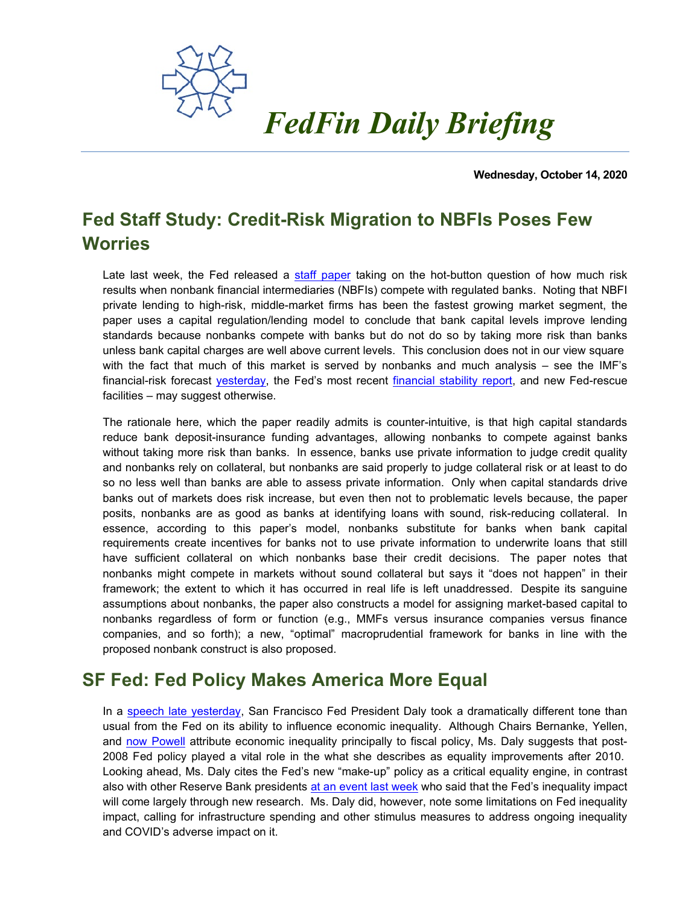

**Wednesday, October 14, 2020**

# **Fed Staff Study: Credit-Risk Migration to NBFIs Poses Few Worries**

Late last week, the Fed released a [staff paper](https://www.federalreserve.gov/econres/feds/banks-non-banks-and-lending-standards.htm) taking on the hot-button question of how much risk results when nonbank financial intermediaries (NBFIs) compete with regulated banks. Noting that NBFI private lending to high-risk, middle-market firms has been the fastest growing market segment, the paper uses a capital regulation/lending model to conclude that bank capital levels improve lending standards because nonbanks compete with banks but do not do so by taking more risk than banks unless bank capital charges are well above current levels. This conclusion does not in our view square with the fact that much of this market is served by nonbanks and much analysis – see the IMF's financial-risk forecast [yesterday,](https://blogs.imf.org/2020/10/13/a-bridge-to-economic-recovery-be-aware-of-financial-stability-risks/) the Fed's most recent [financial stability report,](https://fedfin.com/wp-content/uploads/2020/05/daily051520.pdf) and new Fed-rescue facilities – may suggest otherwise.

The rationale here, which the paper readily admits is counter-intuitive, is that high capital standards reduce bank deposit-insurance funding advantages, allowing nonbanks to compete against banks without taking more risk than banks. In essence, banks use private information to judge credit quality and nonbanks rely on collateral, but nonbanks are said properly to judge collateral risk or at least to do so no less well than banks are able to assess private information. Only when capital standards drive banks out of markets does risk increase, but even then not to problematic levels because, the paper posits, nonbanks are as good as banks at identifying loans with sound, risk-reducing collateral. In essence, according to this paper's model, nonbanks substitute for banks when bank capital requirements create incentives for banks not to use private information to underwrite loans that still have sufficient collateral on which nonbanks base their credit decisions. The paper notes that nonbanks might compete in markets without sound collateral but says it "does not happen" in their framework; the extent to which it has occurred in real life is left unaddressed. Despite its sanguine assumptions about nonbanks, the paper also constructs a model for assigning market-based capital to nonbanks regardless of form or function (e.g., MMFs versus insurance companies versus finance companies, and so forth); a new, "optimal" macroprudential framework for banks in line with the proposed nonbank construct is also proposed.

### **SF Fed: Fed Policy Makes America More Equal**

In a [speech late yesterday,](https://www.frbsf.org/our-district/press/presidents-speeches/mary-c-daly/2020/october/is-the-federal-reserve-contributing-to-economic-inequality/) San Francisco Fed President Daly took a dramatically different tone than usual from the Fed on its ability to influence economic inequality. Although Chairs Bernanke, Yellen, and [now Powell](https://fedfin.com/wp-content/uploads/2020/09/Daily091620.pdf) attribute economic inequality principally to fiscal policy, Ms. Daly suggests that post-2008 Fed policy played a vital role in the what she describes as equality improvements after 2010. Looking ahead, Ms. Daly cites the Fed's new "make-up" policy as a critical equality engine, in contrast also with other Reserve Bank presidents [at an event last week](https://fedfin.com/wp-content/uploads/2020/10/Daily100720.pdf) who said that the Fed's inequality impact will come largely through new research. Ms. Daly did, however, note some limitations on Fed inequality impact, calling for infrastructure spending and other stimulus measures to address ongoing inequality and COVID's adverse impact on it.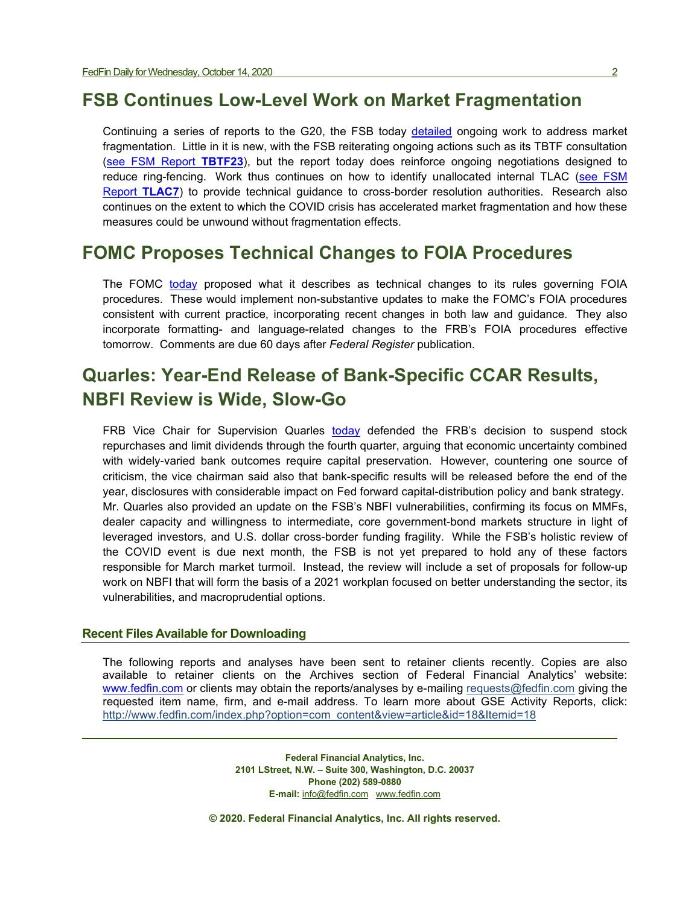#### **FSB Continues Low-Level Work on Market Fragmentation**

Continuing a series of reports to the G20, the FSB today [detailed](https://www.fsb.org/wp-content/uploads/P141020-2.pdf) ongoing work to address market fragmentation. Little in it is new, with the FSB reiterating ongoing actions such as its TBTF consultation [\(see FSM Report](https://www.fedfin.com/dmdocuments/tbtf23.pdf) **TBTF23**), but the report today does reinforce ongoing negotiations designed to reduce ring-fencing. Work thus continues on how to identify unallocated internal TLAC [\(see FSM](https://fedfin.com/wp-content/uploads/2020/09/TLAC7.pdf)  [Report](https://fedfin.com/wp-content/uploads/2020/09/TLAC7.pdf) **TLAC7**) to provide technical guidance to cross-border resolution authorities. Research also continues on the extent to which the COVID crisis has accelerated market fragmentation and how these measures could be unwound without fragmentation effects.

### **FOMC Proposes Technical Changes to FOIA Procedures**

The FOMC [today](https://www.federalreserve.gov/newsevents/pressreleases/files/other20201014a1.pdf) proposed what it describes as technical changes to its rules governing FOIA procedures. These would implement non-substantive updates to make the FOMC's FOIA procedures consistent with current practice, incorporating recent changes in both law and guidance. They also incorporate formatting- and language-related changes to the FRB's FOIA procedures effective tomorrow. Comments are due 60 days after *Federal Register* publication.

## **Quarles: Year-End Release of Bank-Specific CCAR Results, NBFI Review is Wide, Slow-Go**

FRB Vice Chair for Supervision Quarles [today](https://www.federalreserve.gov/newsevents/speech/quarles20201014a.htm) defended the FRB's decision to suspend stock repurchases and limit dividends through the fourth quarter, arguing that economic uncertainty combined with widely-varied bank outcomes require capital preservation. However, countering one source of criticism, the vice chairman said also that bank-specific results will be released before the end of the year, disclosures with considerable impact on Fed forward capital-distribution policy and bank strategy. Mr. Quarles also provided an update on the FSB's NBFI vulnerabilities, confirming its focus on MMFs, dealer capacity and willingness to intermediate, core government-bond markets structure in light of leveraged investors, and U.S. dollar cross-border funding fragility. While the FSB's holistic review of the COVID event is due next month, the FSB is not yet prepared to hold any of these factors responsible for March market turmoil. Instead, the review will include a set of proposals for follow-up work on NBFI that will form the basis of a 2021 workplan focused on better understanding the sector, its vulnerabilities, and macroprudential options.

#### **Recent Files Available for Downloading**

The following reports and analyses have been sent to retainer clients recently. Copies are also available to retainer clients on the Archives section of Federal Financial Analytics' website: [www.fedfin.com](http://www.fedfin.com/) or clients may obtain the reports/analyses by e-mailing [requests@fedfin.com](mailto:requests@fedfin.com) giving the requested item name, firm, and e-mail address. To learn more about GSE Activity Reports, click: [http://www.fedfin.com/index.php?option=com\\_content&view=article&id=18&Itemid=18](http://www.fedfin.com/index.php?option=com_content&view=article&id=18&Itemid=18)

> **Federal Financial Analytics, Inc. 2101 LStreet, N.W. – Suite 300, Washington, D.C. 20037 Phone (202) 589-0880 E-mail:** [info@fedfin.com](mailto:info@fedfin.com)[www.fedfin.com](http://www.fedfin.com/)

**© 2020. Federal Financial Analytics, Inc. All rights reserved.**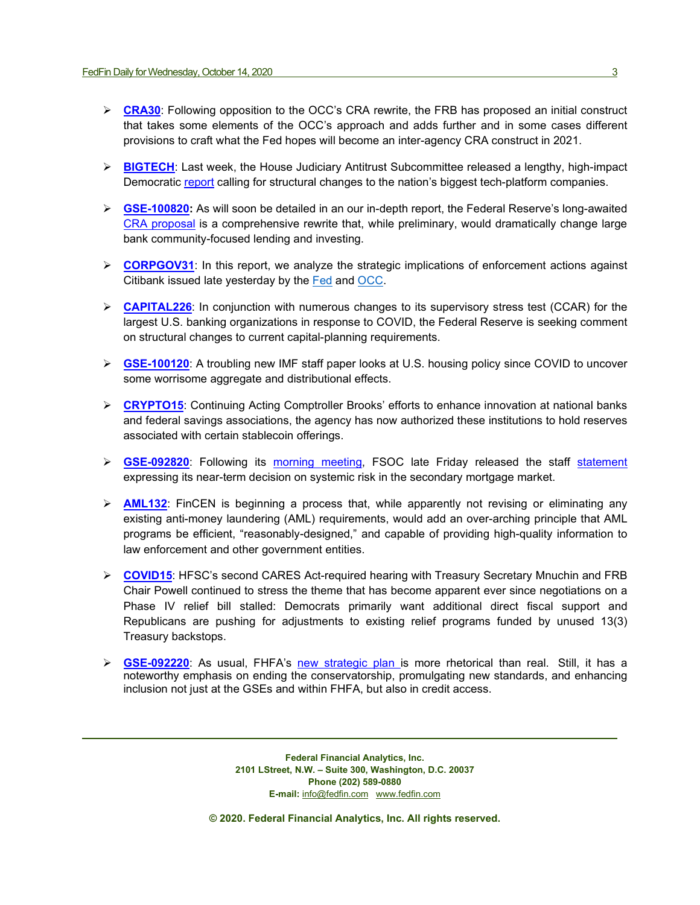- **ERA30:** Following opposition to the OCC's CRA rewrite, the FRB has proposed an initial construct that takes some elements of the OCC's approach and adds further and in some cases different provisions to craft what the Fed hopes will become an inter-agency CRA construct in 2021.
- **► [BIGTECH](https://fedfin.com/wp-content/uploads/2020/10/BIGTECH.pdf):** Last week, the House Judiciary Antitrust Subcommittee released a lengthy, high-impact Democratic [report](https://judiciary.house.gov/uploadedfiles/competition_in_digital_markets.pdf) calling for structural changes to the nation's biggest tech-platform companies.
- **[GSE-100820:](https://fedfin.com/wp-content/uploads/2020/10/GSE-100920.pdf)** As will soon be detailed in an our in-depth report, the Federal Reserve's long-awaited [CRA proposal](https://www.federalreserve.gov/aboutthefed/boardmeetings/files/cra-fr-notice-20200921.pdf) is a comprehensive rewrite that, while preliminary, would dramatically change large bank community-focused lending and investing.
- **EORPGOV31:** In this report, we analyze the strategic implications of enforcement actions against Citibank issued late yesterday by the [Fed](https://www.federalreserve.gov/newsevents/pressreleases/files/enf20201007a1.pdf) and [OCC.](https://www.occ.gov/static/enforcement-actions/ea2020-056.pdf)
- **[CAPITAL226](https://fedfin.com/wp-content/uploads/2020/10/CAPITAL226.pdf)**: In conjunction with numerous changes to its supervisory stress test (CCAR) for the largest U.S. banking organizations in response to COVID, the Federal Reserve is seeking comment on structural changes to current capital-planning requirements.
- **[GSE-100120](https://fedfin.com/wp-content/uploads/2020/10/GSE-100120.pdf)**: A troubling new IMF staff paper looks at U.S. housing policy since COVID to uncover some worrisome aggregate and distributional effects.
- **► [CRYPTO15](https://fedfin.com/wp-content/uploads/2020/09/CRYPTO15.pdf):** Continuing Acting Comptroller Brooks' efforts to enhance innovation at national banks and federal savings associations, the agency has now authorized these institutions to hold reserves associated with certain stablecoin offerings.
- **GSE-092820**: Following its [morning meeting,](https://fedfin.com/wp-content/uploads/2020/09/Daily092520.pdf) FSOC late Friday released the staff [statement](https://home.treasury.gov/news/press-releases/sm1136) expressing its near-term decision on systemic risk in the secondary mortgage market.
- **[AML132](https://fedfin.com/wp-content/uploads/2020/09/AML132.pdf)**: FinCEN is beginning a process that, while apparently not revising or eliminating any existing anti-money laundering (AML) requirements, would add an over-arching principle that AML programs be efficient, "reasonably-designed," and capable of providing high-quality information to law enforcement and other government entities.
- **[COVID15](https://fedfin.com/wp-content/uploads/2020/09/COVID15.pdf)**: HFSC's second CARES Act-required hearing with Treasury Secretary Mnuchin and FRB Chair Powell continued to stress the theme that has become apparent ever since negotiations on a Phase IV relief bill stalled: Democrats primarily want additional direct fiscal support and Republicans are pushing for adjustments to existing relief programs funded by unused 13(3) Treasury backstops.
- **[GSE-092220](https://fedfin.com/wp-content/uploads/2020/09/GSE-092220.pdf)**: As usual, FHFA's [new strategic plan is](https://www.fhfa.gov/AboutUs/Reports/ReportDocuments/FHFA_StrategicPlan_9222020.pdf) more rhetorical than real. Still, it has a noteworthy emphasis on ending the conservatorship, promulgating new standards, and enhancing inclusion not just at the GSEs and within FHFA, but also in credit access.

**Federal Financial Analytics, Inc. 2101 LStreet, N.W. – Suite 300, Washington, D.C. 20037 Phone (202) 589-0880 E-mail:** [info@fedfin.com](mailto:info@fedfin.com)[www.fedfin.com](http://www.fedfin.com/)

**© 2020. Federal Financial Analytics, Inc. All rights reserved.**